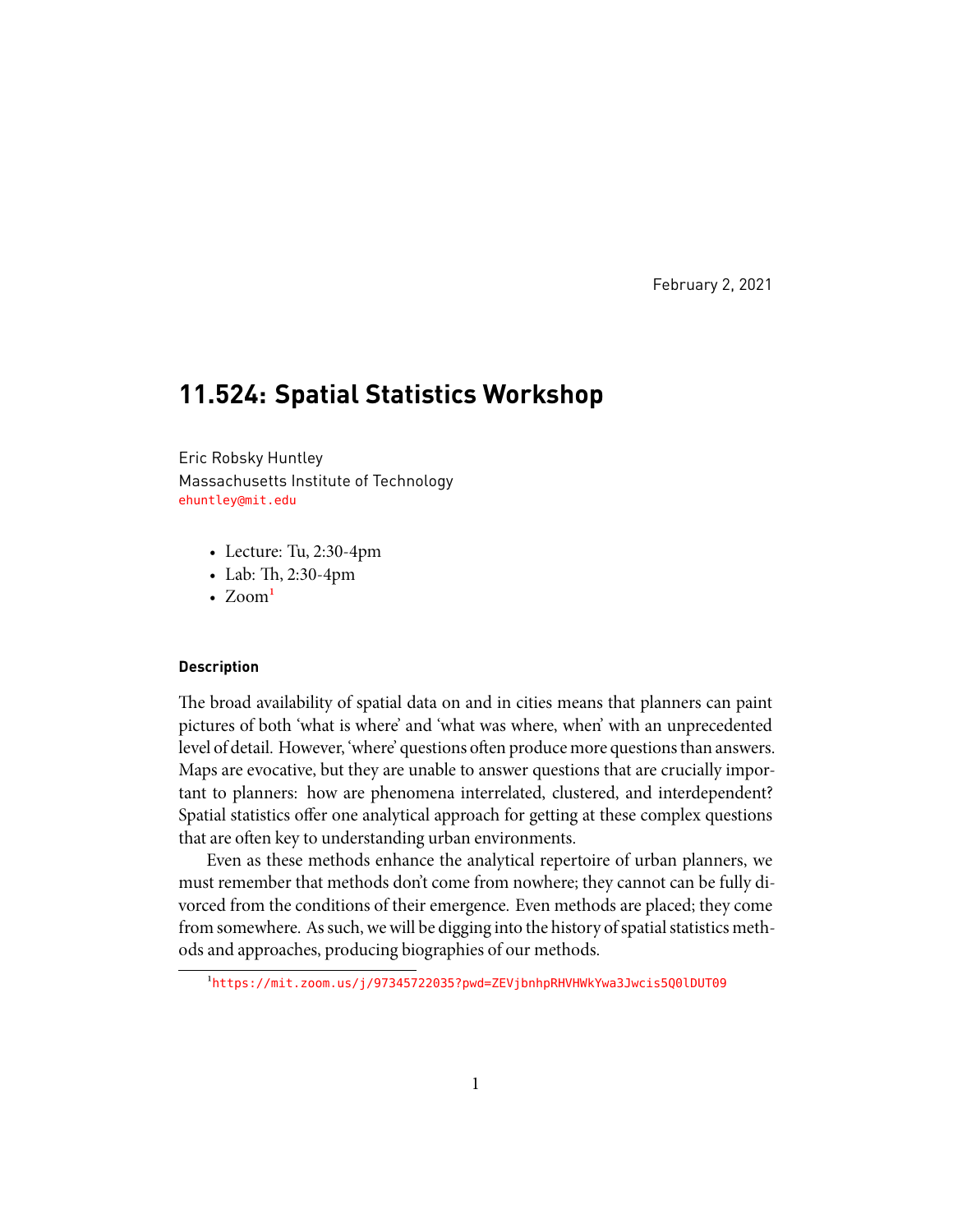February 2, 2021

# **11.524: Spatial Statistics Workshop**

Eric Robsky Huntley Massachusetts Institute of Technology <ehuntley@mit.edu>

- Lecture: Tu, 2:30-4pm
- Lab: Th, 2:30-4pm
- $Zoom<sup>1</sup>$

# **Description**

The broad availability of spatial data on and in cities means that planners can paint pictures of both 'what is where' and 'what was where, when' with an unprecedented level of detail. However, 'where' questions often produce more questions than answers. Maps are evocative, but they are unable to answer questions that are crucially important to planners: how are phenomena interrelated, clustered, and interdependent? Spatial statistics offer one analytical approach for getting at these complex questions that are often key to understanding urban environments.

Even as these methods enhance the analytical repertoire of urban planners, we must remember that methods don't come from nowhere; they cannot can be fully divorced from the conditions of their emergence. Even methods are placed; they come from somewhere. As such, we will be digging into the history of spatial statistics methods and approaches, producing biographies of our methods.

<span id="page-0-0"></span><sup>&</sup>lt;sup>1</sup><https://mit.zoom.us/j/97345722035?pwd=ZEVjbnhpRHVHWkYwa3Jwcis5Q0lDUT09>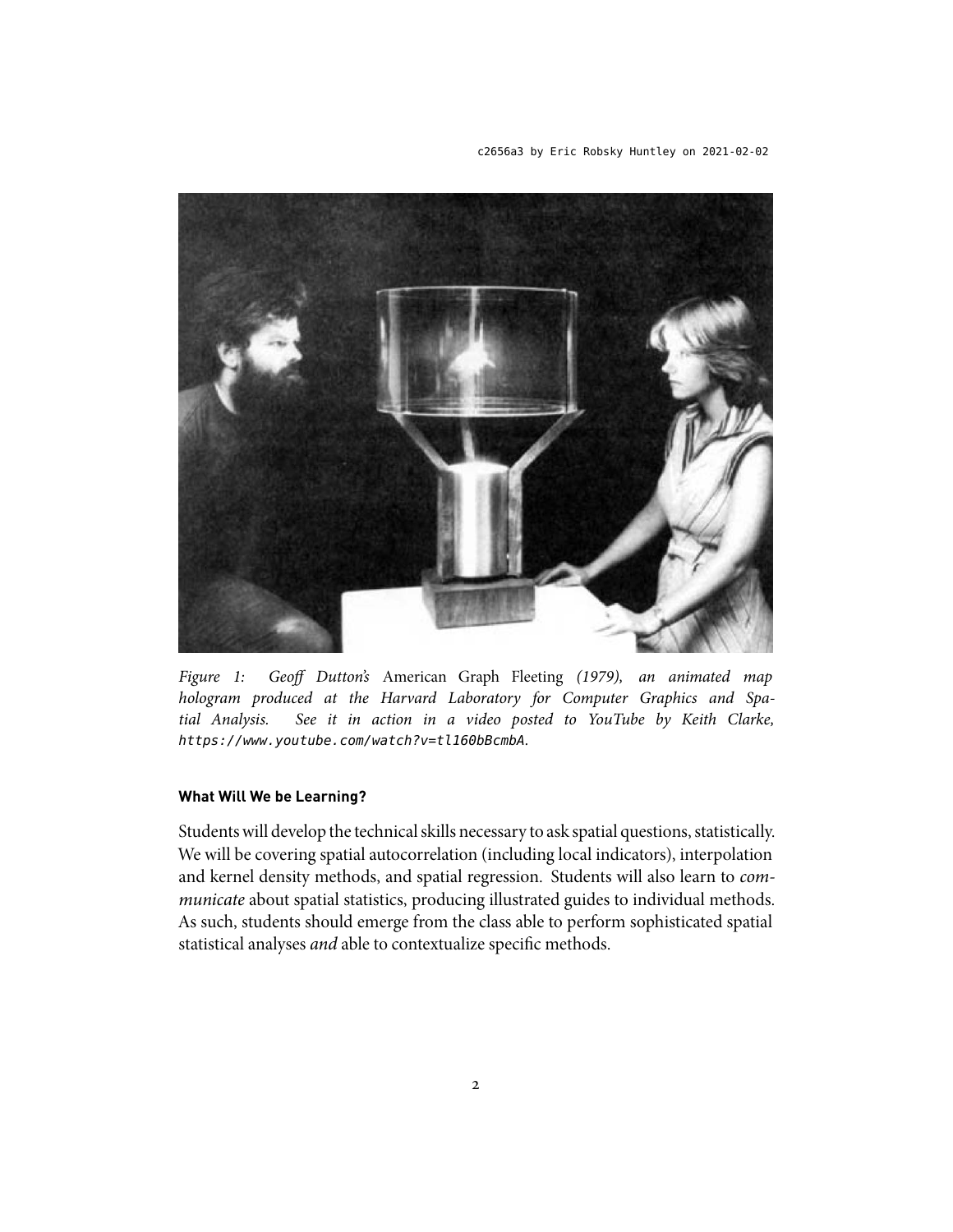c2656a3 by Eric Robsky Huntley on 2021-02-02



*Figure 1: Geoff Dutton's* American Graph Fleeting *(1979), an animated map hologram produced at the Harvard Laboratory for Computer Graphics and Spatial Analysis. See it in action in a video posted to YouTube by Keith Clarke, https://www.youtube.com/watch?v=tl160bBcmbA.*

# **What Will We be Learning?**

Students will develop the technical skills necessary to ask spatial questions, statistically. We will be covering spatial autocorrelation (including local indicators), interpolation and kernel density methods, and spatial regression. Students will also learn to *communicate* about spatial statistics, producing illustrated guides to individual methods. As such, students should emerge from the class able to perform sophisticated spatial statistical analyses *and* able to contextualize specific methods.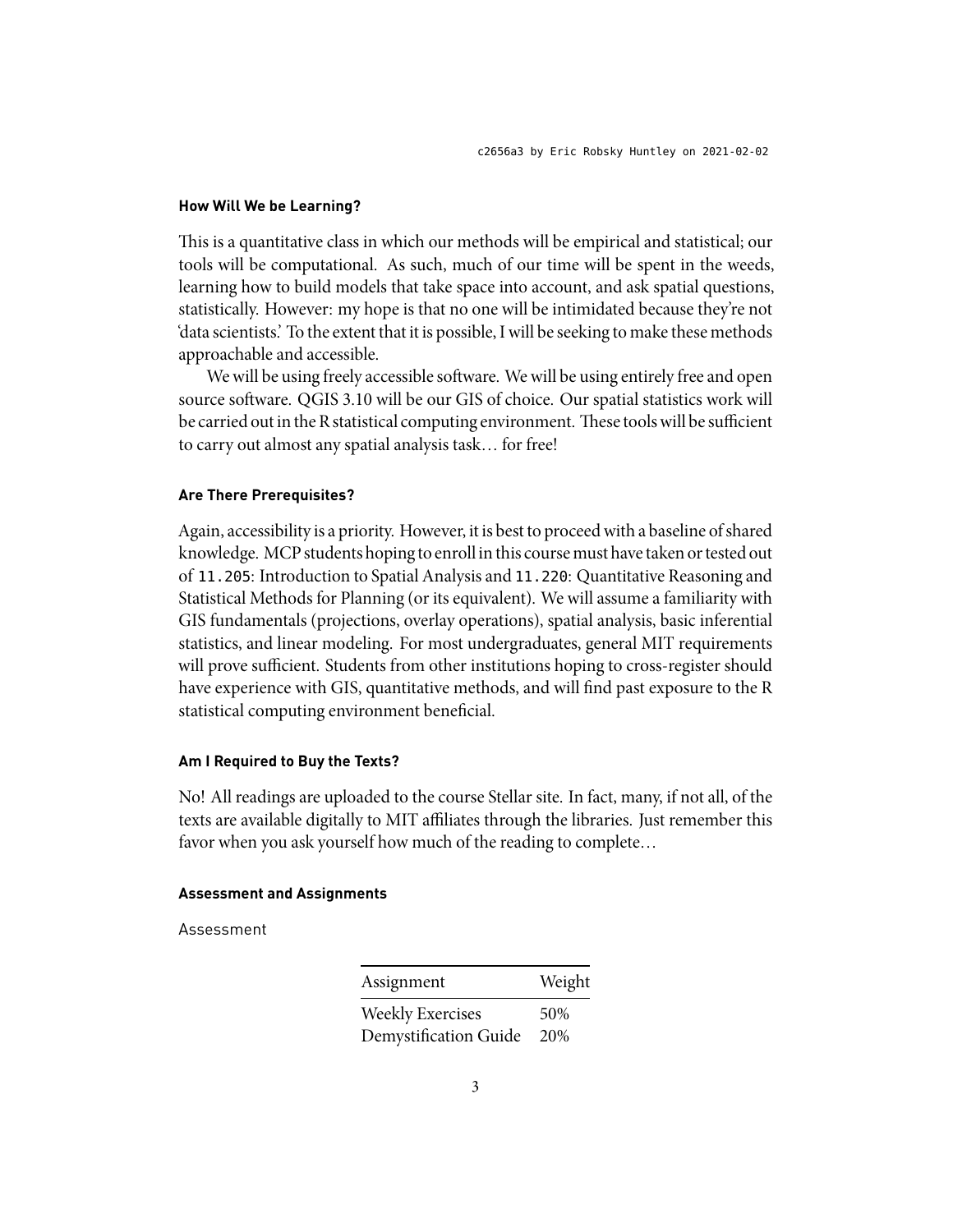### **How Will We be Learning?**

This is a quantitative class in which our methods will be empirical and statistical; our tools will be computational. As such, much of our time will be spent in the weeds, learning how to build models that take space into account, and ask spatial questions, statistically. However: my hope is that no one will be intimidated because they're not 'data scientists.' To the extent that it is possible, I will be seeking to make these methods approachable and accessible.

We will be using freely accessible software. We will be using entirely free and open source software. QGIS 3.10 will be our GIS of choice. Our spatial statistics work will be carried out in the R statistical computing environment. These tools will be sufficient to carry out almost any spatial analysis task… for free!

# **Are There Prerequisites?**

Again, accessibility is a priority. However, it is best to proceed with a baseline of shared knowledge. MCP students hoping to enroll in this course must have taken or tested out of 11.205: Introduction to Spatial Analysis and 11.220: Quantitative Reasoning and Statistical Methods for Planning (or its equivalent). We will assume a familiarity with GIS fundamentals (projections, overlay operations), spatial analysis, basic inferential statistics, and linear modeling. For most undergraduates, general MIT requirements will prove sufficient. Students from other institutions hoping to cross-register should have experience with GIS, quantitative methods, and will find past exposure to the R statistical computing environment beneficial.

# **Am I Required to Buy the Texts?**

No! All readings are uploaded to the course Stellar site. In fact, many, if not all, of the texts are available digitally to MIT affiliates through the libraries. Just remember this favor when you ask yourself how much of the reading to complete…

# **Assessment and Assignments**

Assessment

| Assignment              | Weight |
|-------------------------|--------|
| <b>Weekly Exercises</b> | 50%    |
| Demystification Guide   | 20%    |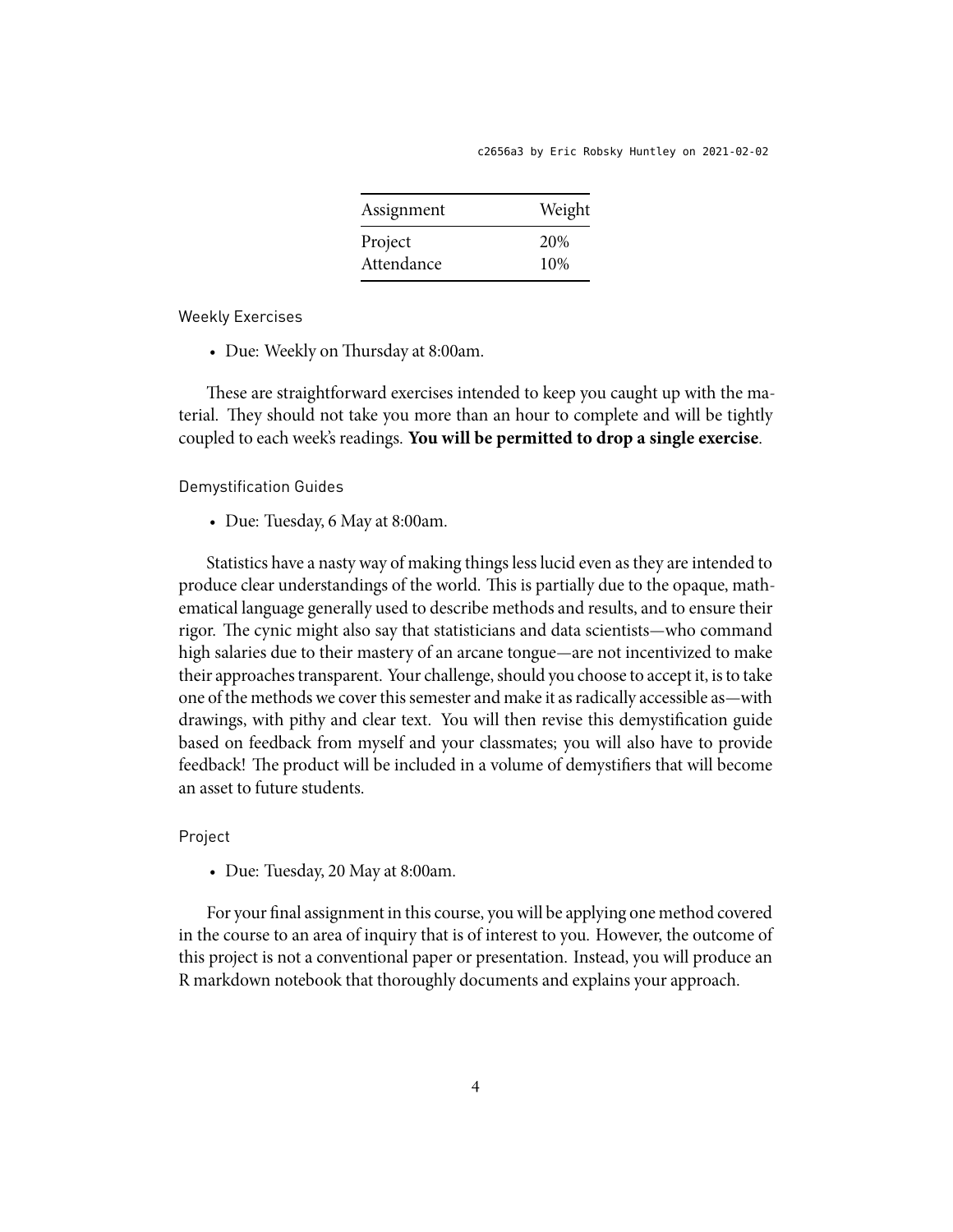| Assignment | Weight |
|------------|--------|
| Project    | 20%    |
| Attendance | 10%    |

Weekly Exercises

• Due: Weekly on Thursday at 8:00am.

These are straightforward exercises intended to keep you caught up with the material. They should not take you more than an hour to complete and will be tightly coupled to each week's readings. **You will be permitted to drop a single exercise**.

Demystification Guides

• Due: Tuesday, 6 May at 8:00am.

Statistics have a nasty way of making things less lucid even as they are intended to produce clear understandings of the world. This is partially due to the opaque, mathematical language generally used to describe methods and results, and to ensure their rigor. The cynic might also say that statisticians and data scientists—who command high salaries due to their mastery of an arcane tongue—are not incentivized to make their approaches transparent. Your challenge, should you choose to accept it, is to take one of the methods we cover this semester and make it as radically accessible as—with drawings, with pithy and clear text. You will then revise this demystification guide based on feedback from myself and your classmates; you will also have to provide feedback! The product will be included in a volume of demystifiers that will become an asset to future students.

Project

• Due: Tuesday, 20 May at 8:00am.

For your final assignment in this course, you will be applying one method covered in the course to an area of inquiry that is of interest to you. However, the outcome of this project is not a conventional paper or presentation. Instead, you will produce an R markdown notebook that thoroughly documents and explains your approach.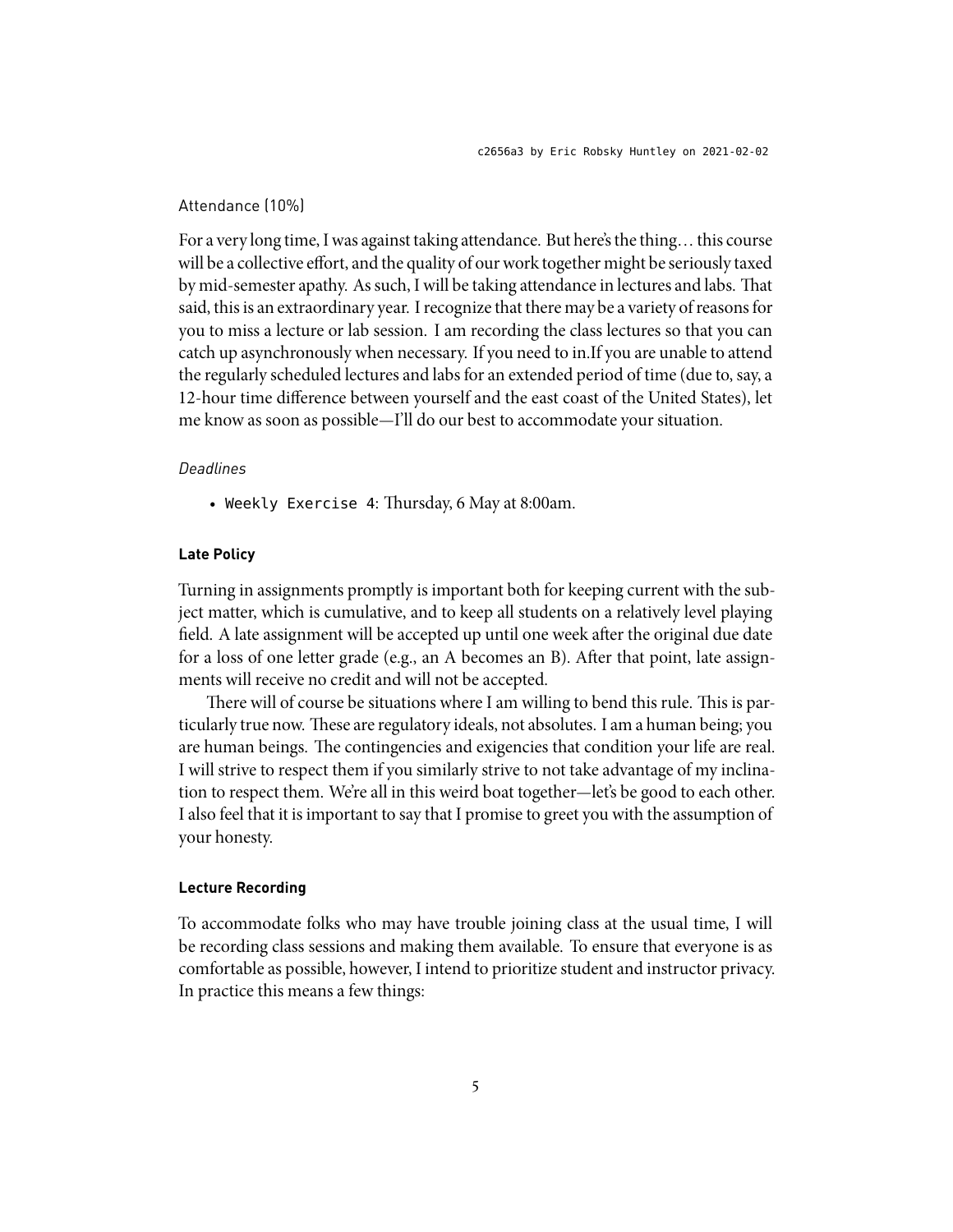# Attendance (10%)

For a very long time, I was against taking attendance. But here's the thing… this course will be a collective effort, and the quality of our work together might be seriously taxed by mid-semester apathy. As such, I will be taking attendance in lectures and labs. That said, this is an extraordinary year. I recognize that there may be a variety of reasons for you to miss a lecture or lab session. I am recording the class lectures so that you can catch up asynchronously when necessary. If you need to in.If you are unable to attend the regularly scheduled lectures and labs for an extended period of time (due to, say, a 12-hour time difference between yourself and the east coast of the United States), let me know as soon as possible—I'll do our best to accommodate your situation.

# *Deadlines*

• Weekly Exercise 4: Thursday, 6 May at 8:00am.

# **Late Policy**

Turning in assignments promptly is important both for keeping current with the subject matter, which is cumulative, and to keep all students on a relatively level playing field. A late assignment will be accepted up until one week after the original due date for a loss of one letter grade (e.g., an A becomes an B). After that point, late assignments will receive no credit and will not be accepted.

There will of course be situations where I am willing to bend this rule. This is particularly true now. These are regulatory ideals, not absolutes. I am a human being; you are human beings. The contingencies and exigencies that condition your life are real. I will strive to respect them if you similarly strive to not take advantage of my inclination to respect them. We're all in this weird boat together—let's be good to each other. I also feel that it is important to say that I promise to greet you with the assumption of your honesty.

# **Lecture Recording**

To accommodate folks who may have trouble joining class at the usual time, I will be recording class sessions and making them available. To ensure that everyone is as comfortable as possible, however, I intend to prioritize student and instructor privacy. In practice this means a few things: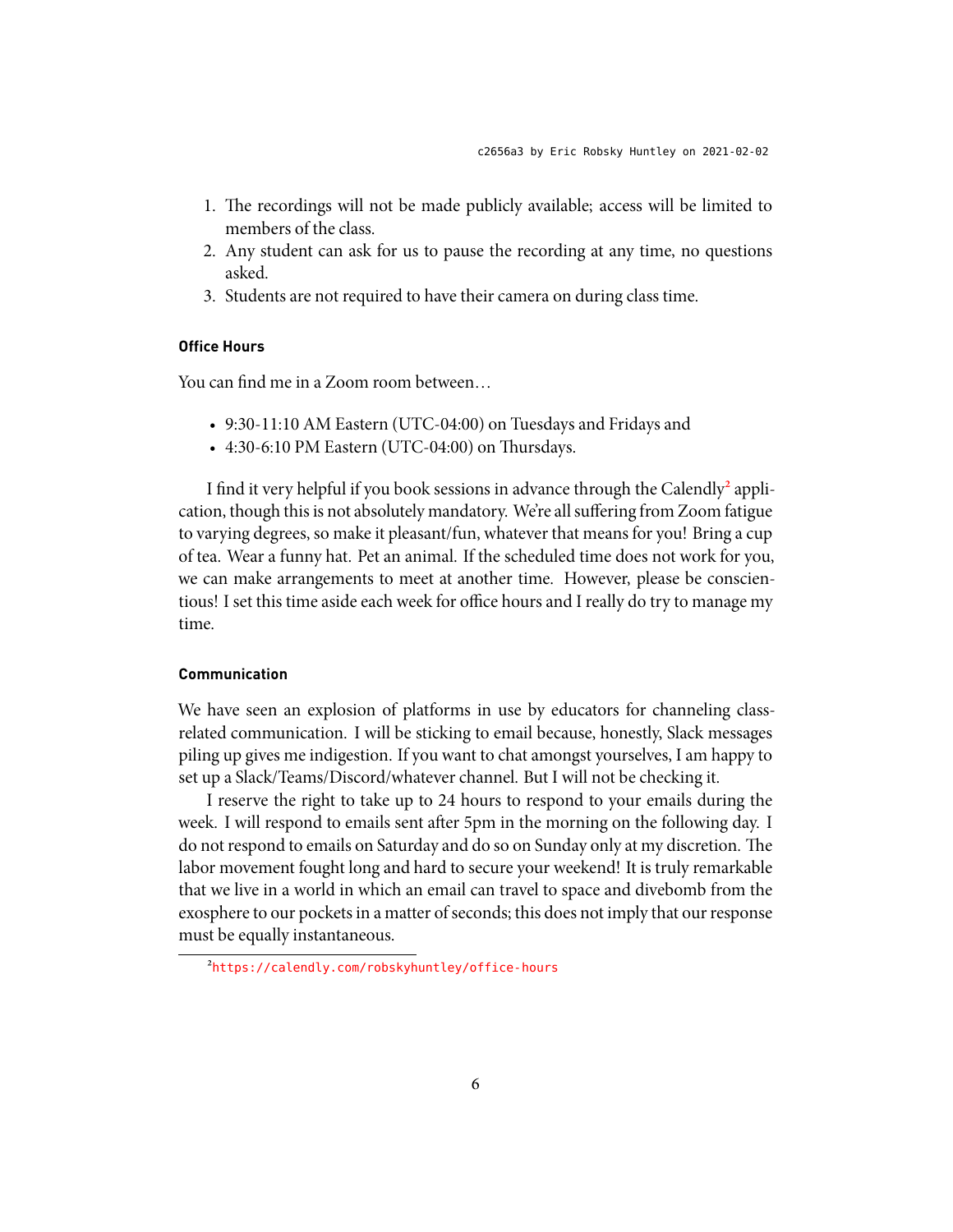- 1. The recordings will not be made publicly available; access will be limited to members of the class.
- 2. Any student can ask for us to pause the recording at any time, no questions asked.
- 3. Students are not required to have their camera on during class time.

# **Office Hours**

You can find me in a Zoom room between…

- 9:30-11:10 AM Eastern (UTC-04:00) on Tuesdays and Fridays and
- 4:30-6:10 PM Eastern (UTC-04:00) on Thursdays.

I find it very helpful if you book sessions in advance through the Calendly<sup>2</sup> application, though this is not absolutely mandatory. We're all suffering from Zoom fatigue to varying degrees, so make it pleasant/fun, whatever that means for you! Bring a cup of tea. Wear a funny hat. Pet an animal. If the scheduled time does not work for you, we can make arrangements to meet at another time. However, please be conscientious! I set this time aside each week for office hours and I really do try to manage my time.

# **Communication**

We have seen an explosion of platforms in use by educators for channeling classrelated communication. I will be sticking to email because, honestly, Slack messages piling up gives me indigestion. If you want to chat amongst yourselves, I am happy to set up a Slack/Teams/Discord/whatever channel. But I will not be checking it.

I reserve the right to take up to 24 hours to respond to your emails during the week. I will respond to emails sent after 5pm in the morning on the following day. I do not respond to emails on Saturday and do so on Sunday only at my discretion. The labor movement fought long and hard to secure your weekend! It is truly remarkable that we live in a world in which an email can travel to space and divebomb from the exosphere to our pockets in a matter of seconds; this does not imply that our response must be equally instantaneous.

<span id="page-5-0"></span>²<https://calendly.com/robskyhuntley/office-hours>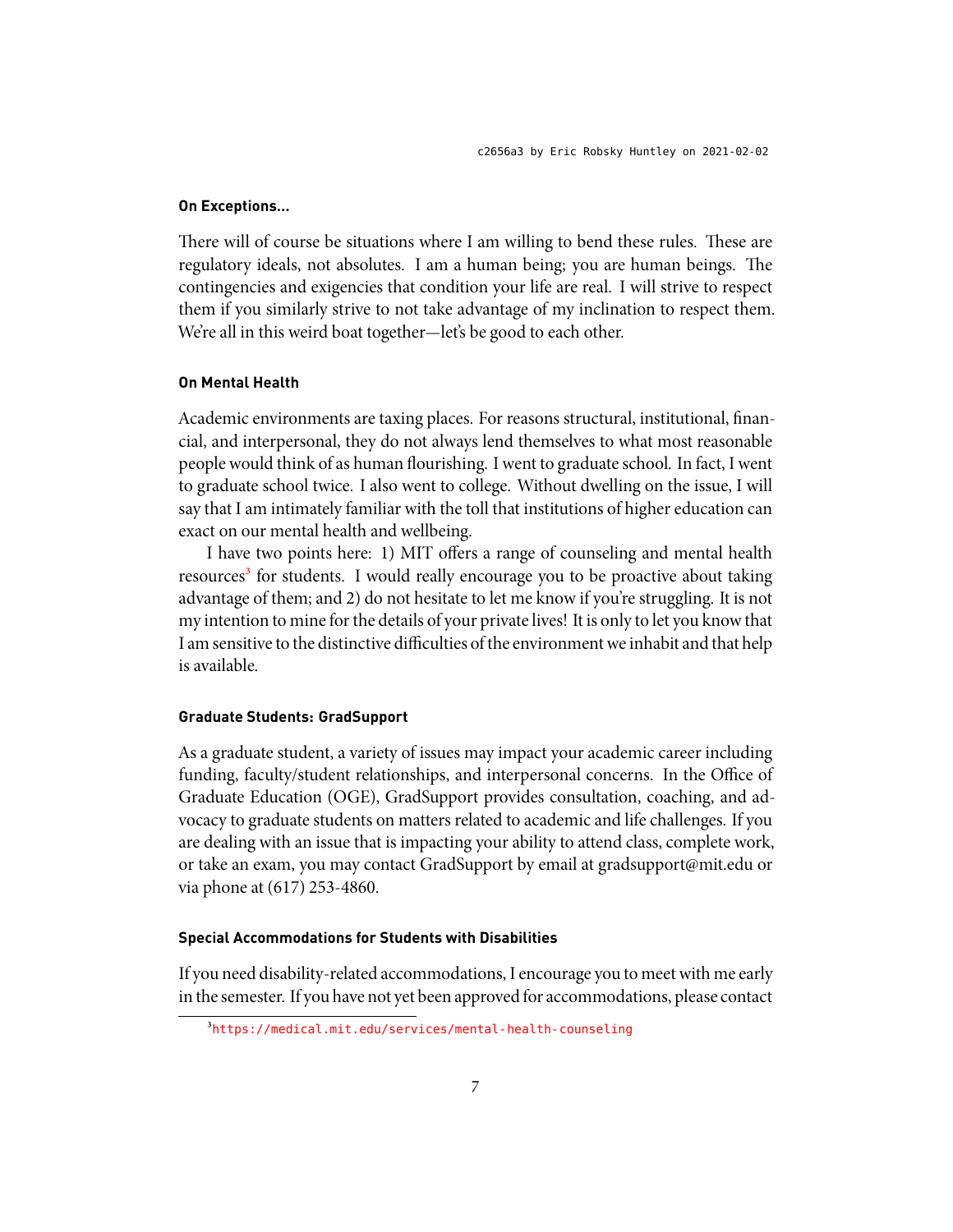# **On Exceptions…**

There will of course be situations where I am willing to bend these rules. These are regulatory ideals, not absolutes. I am a human being; you are human beings. The contingencies and exigencies that condition your life are real. I will strive to respect them if you similarly strive to not take advantage of my inclination to respect them. We're all in this weird boat together—let's be good to each other.

### **On Mental Health**

Academic environments are taxing places. For reasons structural, institutional, financial, and interpersonal, they do not always lend themselves to what most reasonable people would think of as human flourishing. I went to graduate school. In fact, I went to graduate school twice. I also went to college. Without dwelling on the issue, I will say that I am intimately familiar with the toll that institutions of higher education can exact on our mental health and wellbeing.

I have two points here: 1) MIT offers a range of counseling and mental health resources<sup>3</sup> for students. I would really encourage you to be proactive about taking advantage of them; and 2) do not hesitate to let me know if you're struggling. It is not my intention to mine for the details of your private lives! It is only to let you know that I am sensitive to the distinctive difficulties of the environment we inhabit and that help is available.

# **Graduate Students: GradSupport**

As a graduate student, a variety of issues may impact your academic career including funding, faculty/student relationships, and interpersonal concerns. In the Office of Graduate Education (OGE), GradSupport provides consultation, coaching, and advocacy to graduate students on matters related to academic and life challenges. If you are dealing with an issue that is impacting your ability to attend class, complete work, or take an exam, you may contact GradSupport by email at gradsupport@mit.edu or via phone at (617) 253-4860.

### **Special Accommodations for Students with Disabilities**

If you need disability-related accommodations, I encourage you to meet with me early inthe semester. If you have not yet been approved for accommodations, please contact

<span id="page-6-0"></span>³<https://medical.mit.edu/services/mental-health-counseling>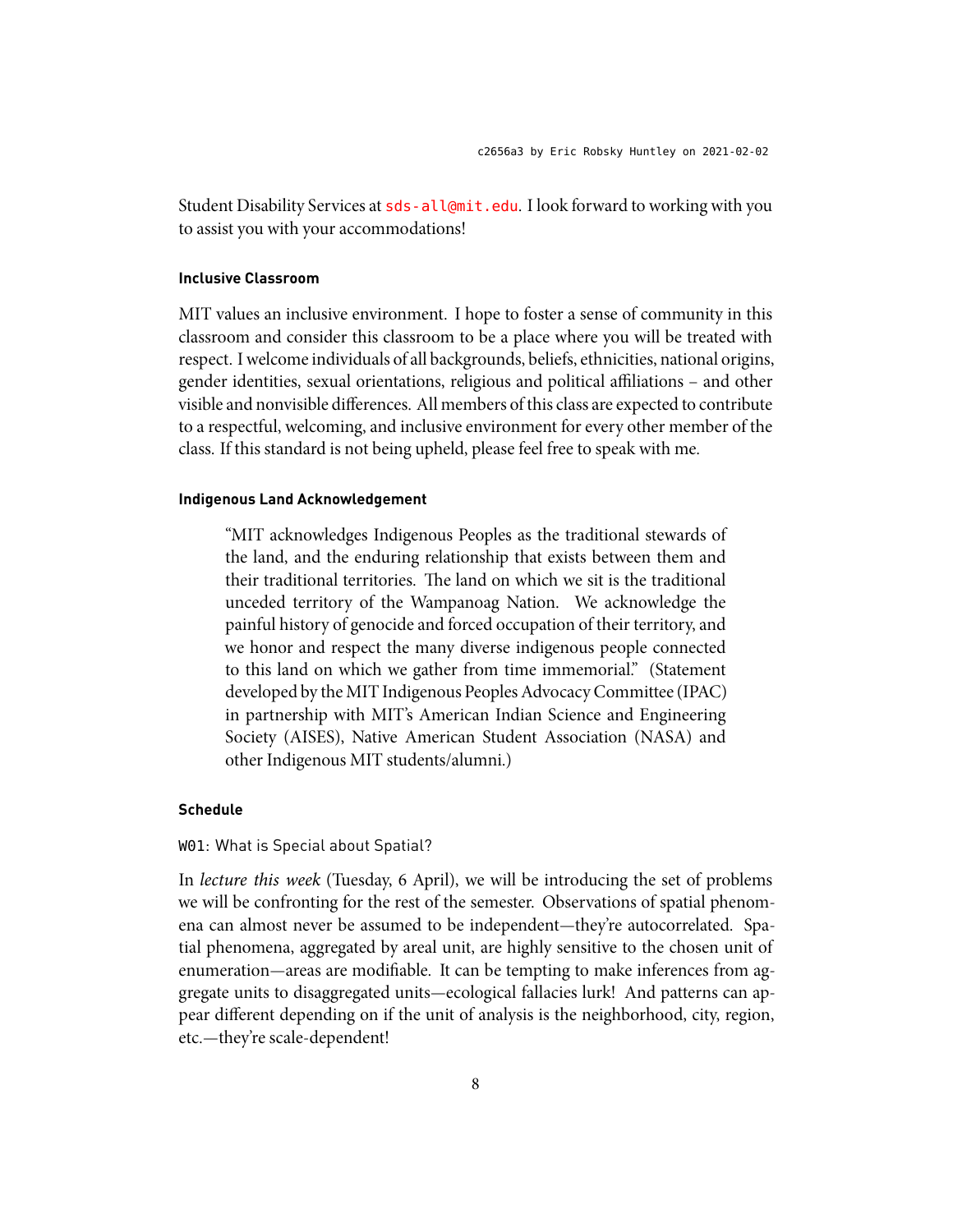Student Disability Services at <sds-all@mit.edu>. I look forward to working with you to assist you with your accommodations!

### **Inclusive Classroom**

MIT values an inclusive environment. I hope to foster a sense of community in this classroom and consider this classroom to be a place where you will be treated with respect. I welcome individuals of all backgrounds, beliefs, ethnicities, national origins, gender identities, sexual orientations, religious and political affiliations – and other visible and nonvisible differences. All members of this class are expected to contribute to a respectful, welcoming, and inclusive environment for every other member of the class. If this standard is not being upheld, please feel free to speak with me.

### **Indigenous Land Acknowledgement**

"MIT acknowledges Indigenous Peoples as the traditional stewards of the land, and the enduring relationship that exists between them and their traditional territories. The land on which we sit is the traditional unceded territory of the Wampanoag Nation. We acknowledge the painful history of genocide and forced occupation of their territory, and we honor and respect the many diverse indigenous people connected to this land on which we gather from time immemorial." (Statement developed by the MIT Indigenous Peoples Advocacy Committee (IPAC) in partnership with MIT's American Indian Science and Engineering Society (AISES), Native American Student Association (NASA) and other Indigenous MIT students/alumni.)

### **Schedule**

# W01: What is Special about Spatial?

In *lecture this week* (Tuesday, 6 April), we will be introducing the set of problems we will be confronting for the rest of the semester. Observations of spatial phenomena can almost never be assumed to be independent—they're autocorrelated. Spatial phenomena, aggregated by areal unit, are highly sensitive to the chosen unit of enumeration—areas are modifiable. It can be tempting to make inferences from aggregate units to disaggregated units—ecological fallacies lurk! And patterns can appear different depending on if the unit of analysis is the neighborhood, city, region, etc.—they're scale-dependent!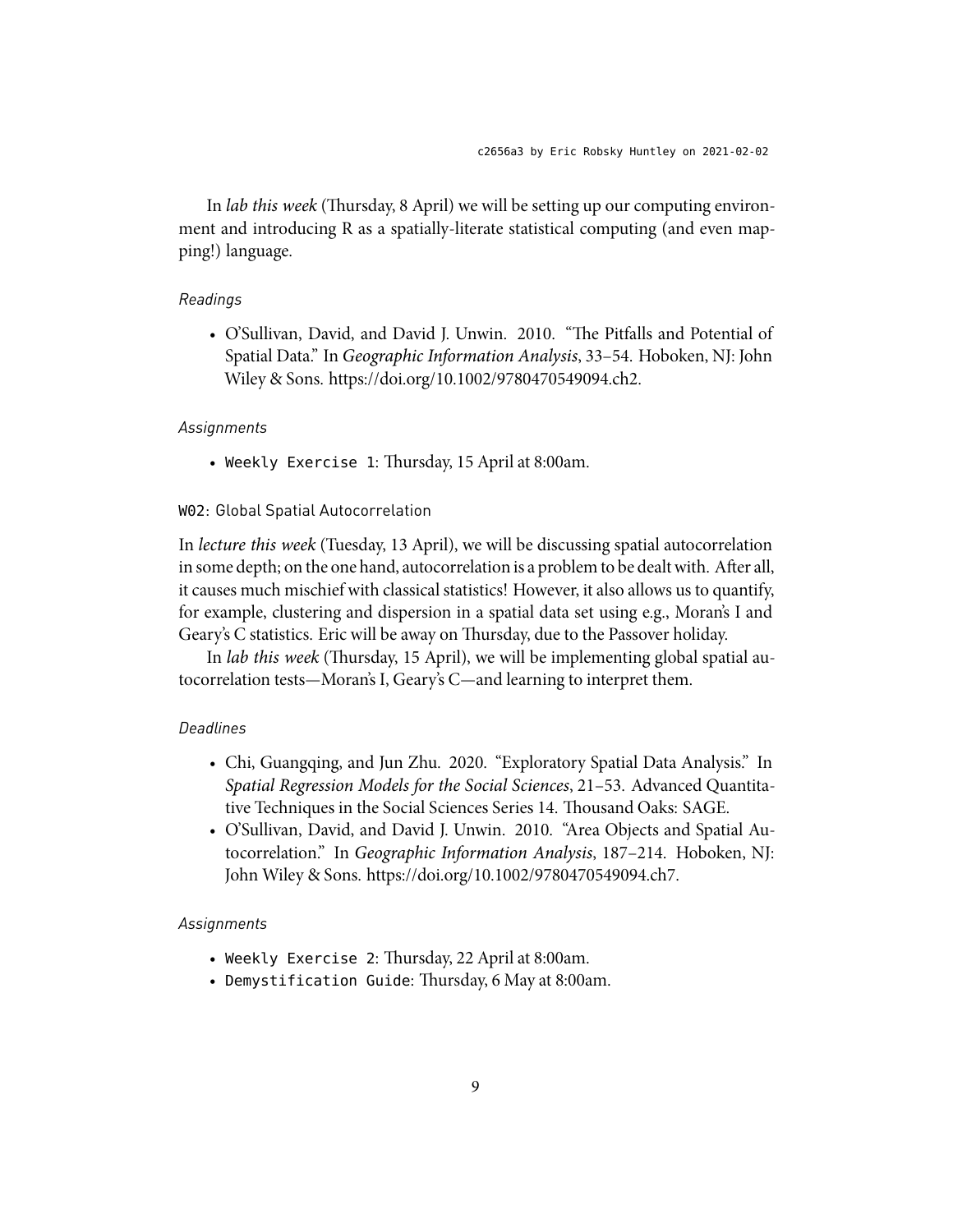In *lab this week* (Thursday, 8 April) we will be setting up our computing environment and introducing R as a spatially-literate statistical computing (and even mapping!) language.

# *Readings*

• O'Sullivan, David, and David J. Unwin. 2010. "The Pitfalls and Potential of Spatial Data." In *Geographic Information Analysis*, 33–54. Hoboken, NJ: John Wiley & Sons. https://doi.org/10.1002/9780470549094.ch2.

#### *Assignments*

• Weekly Exercise 1: Thursday, 15 April at 8:00am.

# W02: Global Spatial Autocorrelation

In *lecture this week* (Tuesday, 13 April), we will be discussing spatial autocorrelation in some depth; on the one hand, autocorrelation is a problem to be dealt with. After all, it causes much mischief with classical statistics! However, it also allows us to quantify, for example, clustering and dispersion in a spatial data set using e.g., Moran's I and Geary's C statistics. Eric will be away on Thursday, due to the Passover holiday.

In *lab this week* (Thursday, 15 April), we will be implementing global spatial autocorrelation tests—Moran's I, Geary's C—and learning to interpret them.

# *Deadlines*

- Chi, Guangqing, and Jun Zhu. 2020. "Exploratory Spatial Data Analysis." In *Spatial Regression Models for the Social Sciences*, 21–53. Advanced Quantitative Techniques in the Social Sciences Series 14. Thousand Oaks: SAGE.
- O'Sullivan, David, and David J. Unwin. 2010. "Area Objects and Spatial Autocorrelation." In *Geographic Information Analysis*, 187–214. Hoboken, NJ: John Wiley & Sons. https://doi.org/10.1002/9780470549094.ch7.

# *Assignments*

- Weekly Exercise 2: Thursday, 22 April at 8:00am.
- Demystification Guide: Thursday, 6 May at 8:00am.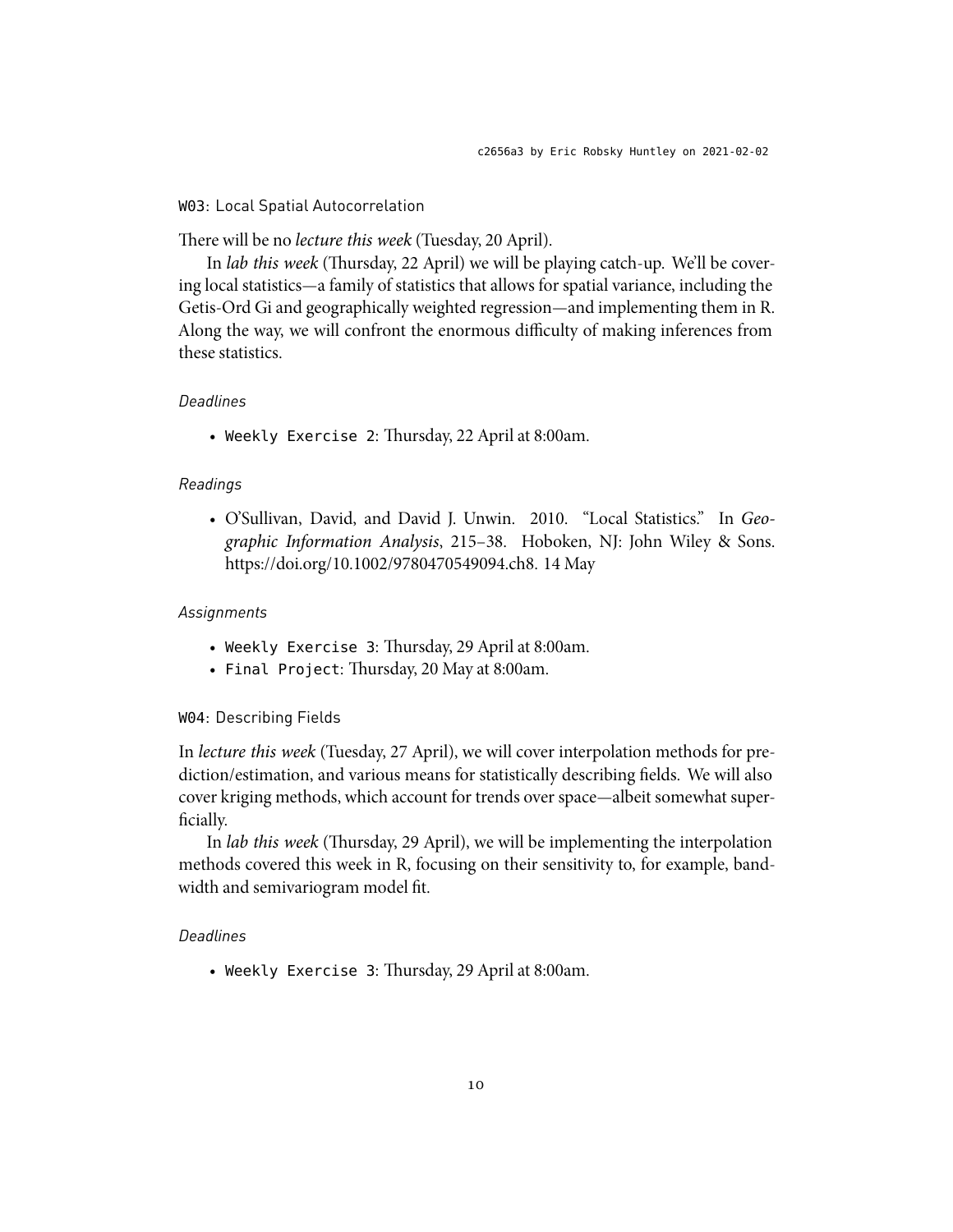# W03: Local Spatial Autocorrelation

There will be no *lecture this week* (Tuesday, 20 April).

In *lab this week* (Thursday, 22 April) we will be playing catch-up. We'll be covering local statistics—a family of statistics that allows for spatial variance, including the Getis-Ord Gi and geographically weighted regression—and implementing them in R. Along the way, we will confront the enormous difficulty of making inferences from these statistics.

# *Deadlines*

• Weekly Exercise 2: Thursday, 22 April at 8:00am.

### *Readings*

• O'Sullivan, David, and David J. Unwin. 2010. "Local Statistics." In *Geographic Information Analysis*, 215–38. Hoboken, NJ: John Wiley & Sons. https://doi.org/10.1002/9780470549094.ch8. 14 May

### *Assignments*

- Weekly Exercise 3: Thursday, 29 April at 8:00am.
- Final Project: Thursday, 20 May at 8:00am.

### W04: Describing Fields

In *lecture this week* (Tuesday, 27 April), we will cover interpolation methods for prediction/estimation, and various means for statistically describing fields. We will also cover kriging methods, which account for trends over space—albeit somewhat superficially.

In *lab this week* (Thursday, 29 April), we will be implementing the interpolation methods covered this week in R, focusing on their sensitivity to, for example, bandwidth and semivariogram model fit.

# *Deadlines*

• Weekly Exercise 3: Thursday, 29 April at 8:00am.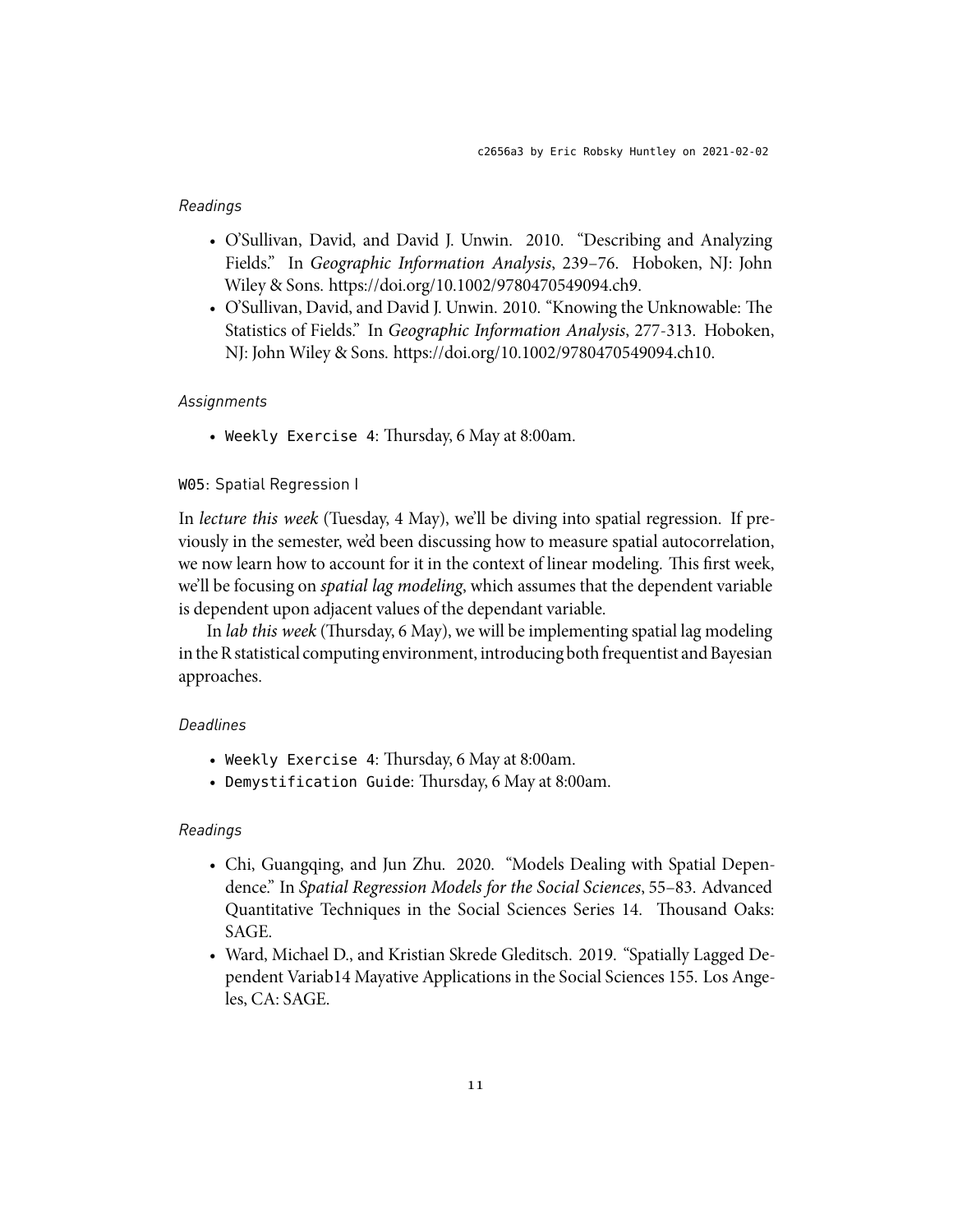# *Readings*

- O'Sullivan, David, and David J. Unwin. 2010. "Describing and Analyzing Fields." In *Geographic Information Analysis*, 239–76. Hoboken, NJ: John Wiley & Sons. https://doi.org/10.1002/9780470549094.ch9.
- O'Sullivan, David, and David J. Unwin. 2010. "Knowing the Unknowable: The Statistics of Fields." In *Geographic Information Analysis*, 277-313. Hoboken, NJ: John Wiley & Sons. https://doi.org/10.1002/9780470549094.ch10.

#### *Assignments*

• Weekly Exercise 4: Thursday, 6 May at 8:00am.

### W05: Spatial Regression I

In *lecture this week* (Tuesday, 4 May), we'll be diving into spatial regression. If previously in the semester, we'd been discussing how to measure spatial autocorrelation, we now learn how to account for it in the context of linear modeling. This first week, we'll be focusing on *spatial lag modeling*, which assumes that the dependent variable is dependent upon adjacent values of the dependant variable.

In *lab this week* (Thursday, 6 May), we will be implementing spatial lag modeling inthe R statistical computing environment, introducing both frequentist and Bayesian approaches.

### *Deadlines*

- Weekly Exercise 4: Thursday, 6 May at 8:00am.
- Demystification Guide: Thursday, 6 May at 8:00am.

# *Readings*

- Chi, Guangqing, and Jun Zhu. 2020. "Models Dealing with Spatial Dependence." In *Spatial Regression Models for the Social Sciences*, 55–83. Advanced Quantitative Techniques in the Social Sciences Series 14. Thousand Oaks: SAGE.
- Ward, Michael D., and Kristian Skrede Gleditsch. 2019. "Spatially Lagged Dependent Variab14 Mayative Applications in the Social Sciences 155. Los Angeles, CA: SAGE.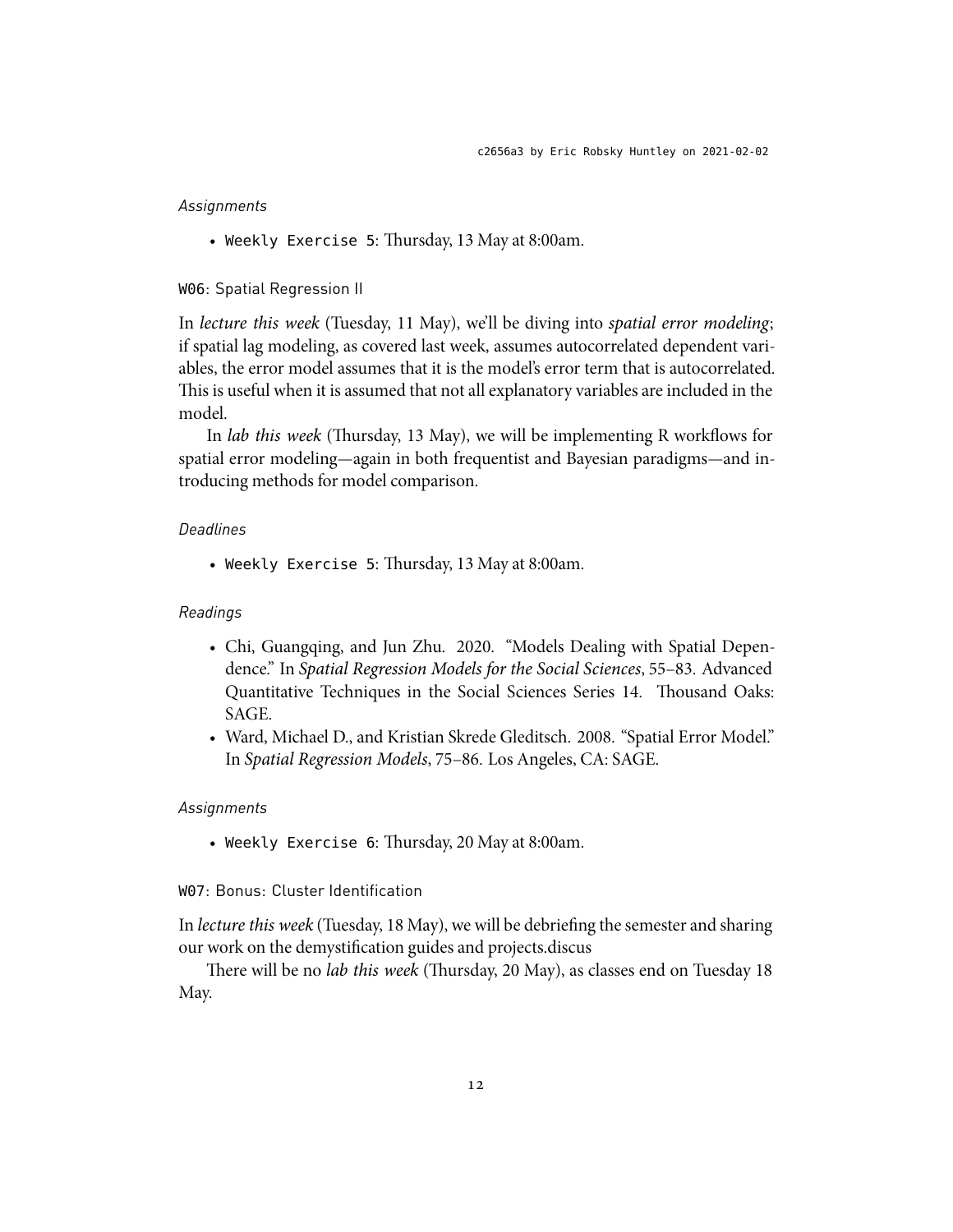# *Assignments*

• Weekly Exercise 5: Thursday, 13 May at 8:00am.

# W06: Spatial Regression II

In *lecture this week* (Tuesday, 11 May), we'll be diving into *spatial error modeling*; if spatial lag modeling, as covered last week, assumes autocorrelated dependent variables, the error model assumes that it is the model's error term that is autocorrelated. This is useful when it is assumed that not all explanatory variables are included in the model.

In *lab this week* (Thursday, 13 May), we will be implementing R workflows for spatial error modeling—again in both frequentist and Bayesian paradigms—and introducing methods for model comparison.

# *Deadlines*

• Weekly Exercise 5: Thursday, 13 May at 8:00am.

#### *Readings*

- Chi, Guangqing, and Jun Zhu. 2020. "Models Dealing with Spatial Dependence." In *Spatial Regression Models for the Social Sciences*, 55–83. Advanced Quantitative Techniques in the Social Sciences Series 14. Thousand Oaks: SAGE.
- Ward, Michael D., and Kristian Skrede Gleditsch. 2008. "Spatial Error Model." In *Spatial Regression Models*, 75–86. Los Angeles, CA: SAGE.

#### *Assignments*

• Weekly Exercise 6: Thursday, 20 May at 8:00am.

# W07: Bonus: Cluster Identification

In *lecture this week* (Tuesday, 18 May), we will be debriefing the semester and sharing our work on the demystification guides and projects.discus

There will be no *lab this week* (Thursday, 20 May), as classes end on Tuesday 18 May.